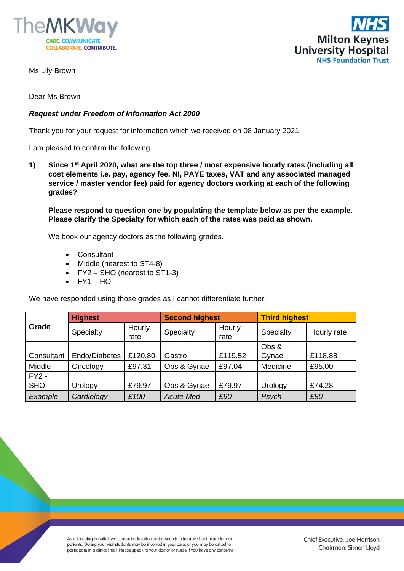



Ms Lily Brown

Dear Ms Brown

## *Request under Freedom of Information Act 2000*

Thank you for your request for information which we received on 08 January 2021.

I am pleased to confirm the following.

**1) Since 1st April 2020, what are the top three / most expensive hourly rates (including all cost elements i.e. pay, agency fee, NI, PAYE taxes, VAT and any associated managed service / master vendor fee) paid for agency doctors working at each of the following grades?**

**Please respond to question one by populating the template below as per the example. Please clarify the Specialty for which each of the rates was paid as shown.**

We book our agency doctors as the following grades.

- Consultant
- Middle (nearest to ST4-8)
- FY2 SHO (nearest to ST1-3)
- $\bullet$  FY1 HO

We have responded using those grades as I cannot differentiate further.

| Grade      | <b>Highest</b> |                | <b>Second highest</b> |                | <b>Third highest</b> |             |
|------------|----------------|----------------|-----------------------|----------------|----------------------|-------------|
|            | Specialty      | Hourly<br>rate | Specialty             | Hourly<br>rate | Specialty            | Hourly rate |
|            |                |                |                       |                | Obs &                |             |
| Consultant | Endo/Diabetes  | £120.80        | Gastro                | £119.52        | Gynae                | £118.88     |
| Middle     | Oncology       | £97.31         | Obs & Gynae           | £97.04         | Medicine             | £95.00      |
| $FY2 -$    |                |                |                       |                |                      |             |
| <b>SHO</b> | Urology        | £79.97         | Obs & Gynae           | £79.97         | Urology              | £74.28      |
| Example    | Cardiology     | £100           | <b>Acute Med</b>      | £90            | Psych                | £80         |

As a teaching hospital, we conduct education and research to improve healthcare for our patients. During your visit students may be involved in your care, or you may be asked to participate in a clinical trial. Please speak to your doctor or nurse if you have any concerns.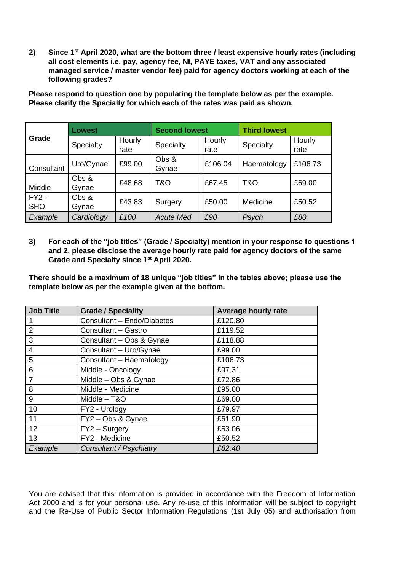**2) Since 1st April 2020, what are the bottom three / least expensive hourly rates (including all cost elements i.e. pay, agency fee, NI, PAYE taxes, VAT and any associated managed service / master vendor fee) paid for agency doctors working at each of the following grades?**

|                       | <b>Lowest</b>  |                | <b>Second lowest</b> |                | <b>Third lowest</b> |                |
|-----------------------|----------------|----------------|----------------------|----------------|---------------------|----------------|
| Grade                 | Specialty      | Hourly<br>rate | Specialty            | Hourly<br>rate | Specialty           | Hourly<br>rate |
| Consultant            | Uro/Gynae      | £99.00         | Obs &<br>Gynae       | £106.04        | Haematology         | £106.73        |
| Middle                | Obs &<br>Gynae | £48.68         | T&O                  | £67.45         | T&O                 | £69.00         |
| $FY2 -$<br><b>SHO</b> | Obs &<br>Gynae | £43.83         | Surgery              | £50.00         | Medicine            | £50.52         |
| Example               | Cardiology     | £100           | <b>Acute Med</b>     | £90            | Psych               | £80            |

**Please respond to question one by populating the template below as per the example. Please clarify the Specialty for which each of the rates was paid as shown.**

**3) For each of the "job titles" (Grade / Specialty) mention in your response to questions 1 and 2, please disclose the average hourly rate paid for agency doctors of the same Grade and Specialty since 1st April 2020.**

**There should be a maximum of 18 unique "job titles" in the tables above; please use the template below as per the example given at the bottom.**

| <b>Job Title</b> | <b>Grade / Speciality</b>  | <b>Average hourly rate</b> |  |  |
|------------------|----------------------------|----------------------------|--|--|
|                  | Consultant - Endo/Diabetes | £120.80                    |  |  |
| 2                | Consultant - Gastro        | £119.52                    |  |  |
| 3                | Consultant - Obs & Gynae   | £118.88                    |  |  |
| $\overline{4}$   | Consultant - Uro/Gynae     | £99.00                     |  |  |
| 5                | Consultant - Haematology   | £106.73                    |  |  |
| 6                | Middle - Oncology          | £97.31                     |  |  |
| $\overline{7}$   | Middle - Obs & Gynae       | £72.86                     |  |  |
| 8                | Middle - Medicine          | £95.00                     |  |  |
| 9                | Middle - T&O               | £69.00                     |  |  |
| 10               | FY2 - Urology              | £79.97                     |  |  |
| 11               | FY2-Obs & Gynae            | £61.90                     |  |  |
| 12               | FY2 - Surgery              | £53.06                     |  |  |
| 13               | FY2 - Medicine             | £50.52                     |  |  |
| Example          | Consultant / Psychiatry    | £82.40                     |  |  |

You are advised that this information is provided in accordance with the Freedom of Information Act 2000 and is for your personal use. Any re-use of this information will be subject to copyright and the Re-Use of Public Sector Information Regulations (1st July 05) and authorisation from